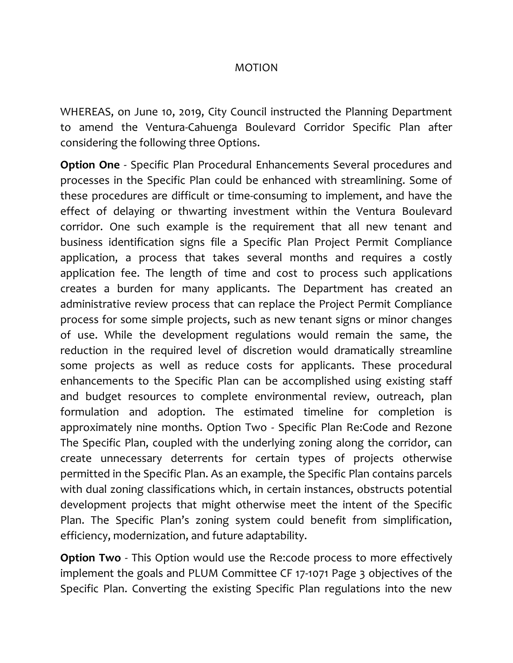## MOTION

WHEREAS, on June 10, 2019, City Council instructed the Planning Department to amend the Ventura-Cahuenga Boulevard Corridor Specific Plan after considering the following three Options.

**Option One** - Specific Plan Procedural Enhancements Several procedures and processes in the Specific Plan could be enhanced with streamlining. Some of these procedures are difficult or time-consuming to implement, and have the effect of delaying or thwarting investment within the Ventura Boulevard corridor. One such example is the requirement that all new tenant and business identification signs file a Specific Plan Project Permit Compliance application, a process that takes several months and requires a costly application fee. The length of time and cost to process such applications creates a burden for many applicants. The Department has created an administrative review process that can replace the Project Permit Compliance process for some simple projects, such as new tenant signs or minor changes of use. While the development regulations would remain the same, the reduction in the required level of discretion would dramatically streamline some projects as well as reduce costs for applicants. These procedural enhancements to the Specific Plan can be accomplished using existing staff and budget resources to complete environmental review, outreach, plan formulation and adoption. The estimated timeline for completion is approximately nine months. Option Two - Specific Plan Re:Code and Rezone The Specific Plan, coupled with the underlying zoning along the corridor, can create unnecessary deterrents for certain types of projects otherwise permitted in the Specific Plan. As an example, the Specific Plan contains parcels with dual zoning classifications which, in certain instances, obstructs potential development projects that might otherwise meet the intent of the Specific Plan. The Specific Plan's zoning system could benefit from simplification, efficiency, modernization, and future adaptability.

**Option Two** - This Option would use the Re:code process to more effectively implement the goals and PLUM Committee CF 17-1071 Page 3 objectives of the Specific Plan. Converting the existing Specific Plan regulations into the new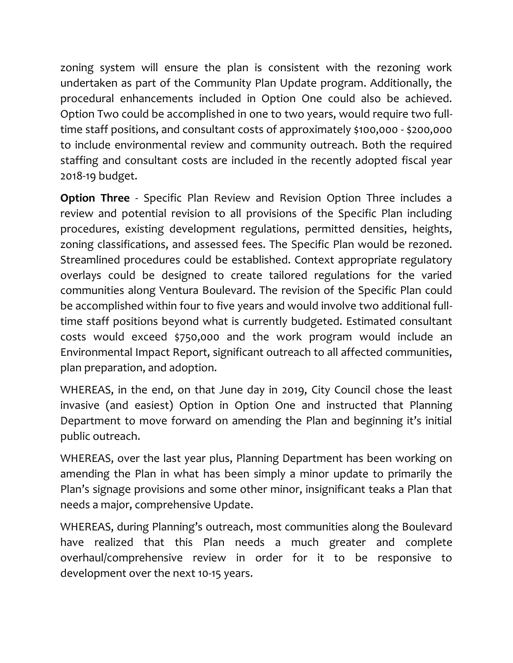zoning system will ensure the plan is consistent with the rezoning work undertaken as part of the Community Plan Update program. Additionally, the procedural enhancements included in Option One could also be achieved. Option Two could be accomplished in one to two years, would require two fulltime staff positions, and consultant costs of approximately \$100,000 - \$200,000 to include environmental review and community outreach. Both the required staffing and consultant costs are included in the recently adopted fiscal year 2018-19 budget.

**Option Three** - Specific Plan Review and Revision Option Three includes a review and potential revision to all provisions of the Specific Plan including procedures, existing development regulations, permitted densities, heights, zoning classifications, and assessed fees. The Specific Plan would be rezoned. Streamlined procedures could be established. Context appropriate regulatory overlays could be designed to create tailored regulations for the varied communities along Ventura Boulevard. The revision of the Specific Plan could be accomplished within four to five years and would involve two additional fulltime staff positions beyond what is currently budgeted. Estimated consultant costs would exceed \$750,000 and the work program would include an Environmental Impact Report, significant outreach to all affected communities, plan preparation, and adoption.

WHEREAS, in the end, on that June day in 2019, City Council chose the least invasive (and easiest) Option in Option One and instructed that Planning Department to move forward on amending the Plan and beginning it's initial public outreach.

WHEREAS, over the last year plus, Planning Department has been working on amending the Plan in what has been simply a minor update to primarily the Plan's signage provisions and some other minor, insignificant teaks a Plan that needs a major, comprehensive Update.

WHEREAS, during Planning's outreach, most communities along the Boulevard have realized that this Plan needs a much greater and complete overhaul/comprehensive review in order for it to be responsive to development over the next 10-15 years.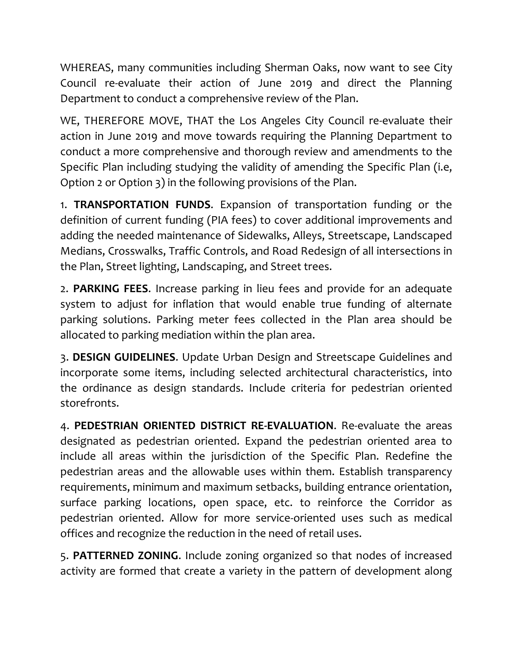WHEREAS, many communities including Sherman Oaks, now want to see City Council re-evaluate their action of June 2019 and direct the Planning Department to conduct a comprehensive review of the Plan.

WE, THEREFORE MOVE, THAT the Los Angeles City Council re-evaluate their action in June 2019 and move towards requiring the Planning Department to conduct a more comprehensive and thorough review and amendments to the Specific Plan including studying the validity of amending the Specific Plan (i.e, Option 2 or Option 3) in the following provisions of the Plan.

1. **TRANSPORTATION FUNDS**. Expansion of transportation funding or the definition of current funding (PIA fees) to cover additional improvements and adding the needed maintenance of Sidewalks, Alleys, Streetscape, Landscaped Medians, Crosswalks, Traffic Controls, and Road Redesign of all intersections in the Plan, Street lighting, Landscaping, and Street trees.

2. **PARKING FEES**. Increase parking in lieu fees and provide for an adequate system to adjust for inflation that would enable true funding of alternate parking solutions. Parking meter fees collected in the Plan area should be allocated to parking mediation within the plan area.

3. **DESIGN GUIDELINES**. Update Urban Design and Streetscape Guidelines and incorporate some items, including selected architectural characteristics, into the ordinance as design standards. Include criteria for pedestrian oriented storefronts.

4. **PEDESTRIAN ORIENTED DISTRICT RE-EVALUATION**. Re-evaluate the areas designated as pedestrian oriented. Expand the pedestrian oriented area to include all areas within the jurisdiction of the Specific Plan. Redefine the pedestrian areas and the allowable uses within them. Establish transparency requirements, minimum and maximum setbacks, building entrance orientation, surface parking locations, open space, etc. to reinforce the Corridor as pedestrian oriented. Allow for more service-oriented uses such as medical offices and recognize the reduction in the need of retail uses.

5. **PATTERNED ZONING**. Include zoning organized so that nodes of increased activity are formed that create a variety in the pattern of development along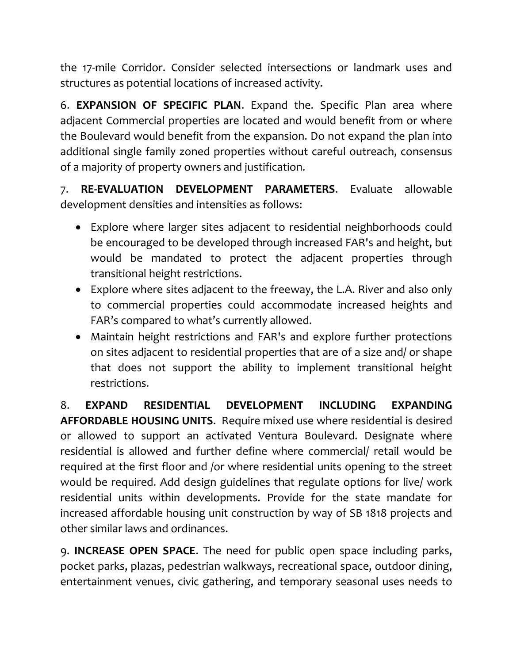the 17-mile Corridor. Consider selected intersections or landmark uses and structures as potential locations of increased activity.

6. **EXPANSION OF SPECIFIC PLAN**. Expand the. Specific Plan area where adjacent Commercial properties are located and would benefit from or where the Boulevard would benefit from the expansion. Do not expand the plan into additional single family zoned properties without careful outreach, consensus of a majority of property owners and justification.

7. **RE-EVALUATION DEVELOPMENT PARAMETERS**. Evaluate allowable development densities and intensities as follows:

- Explore where larger sites adjacent to residential neighborhoods could be encouraged to be developed through increased FAR's and height, but would be mandated to protect the adjacent properties through transitional height restrictions.
- Explore where sites adjacent to the freeway, the L.A. River and also only to commercial properties could accommodate increased heights and FAR's compared to what's currently allowed.
- Maintain height restrictions and FAR's and explore further protections on sites adjacent to residential properties that are of a size and/ or shape that does not support the ability to implement transitional height restrictions.

8. **EXPAND RESIDENTIAL DEVELOPMENT INCLUDING EXPANDING AFFORDABLE HOUSING UNITS**. Require mixed use where residential is desired or allowed to support an activated Ventura Boulevard. Designate where residential is allowed and further define where commercial/ retail would be required at the first floor and /or where residential units opening to the street would be required. Add design guidelines that regulate options for live/ work residential units within developments. Provide for the state mandate for increased affordable housing unit construction by way of SB 1818 projects and other similar laws and ordinances.

9. **INCREASE OPEN SPACE**. The need for public open space including parks, pocket parks, plazas, pedestrian walkways, recreational space, outdoor dining, entertainment venues, civic gathering, and temporary seasonal uses needs to